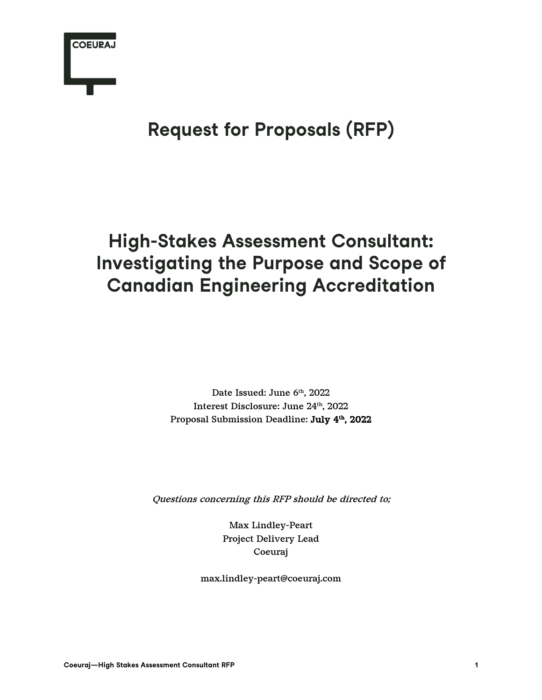

### **Request for Proposals (RFP)**

### **High-Stakes Assessment Consultant: Investigating the Purpose and Scope of Canadian Engineering Accreditation**

Date Issued: June 6th, 2022 Interest Disclosure: June 24th, 2022 Proposal Submission Deadline: July 4<sup>th</sup>, 2022

Questions concerning this RFP should be directed to;

Max Lindley-Peart Project Delivery Lead Coeuraj

max.lindley-peart@coeuraj.com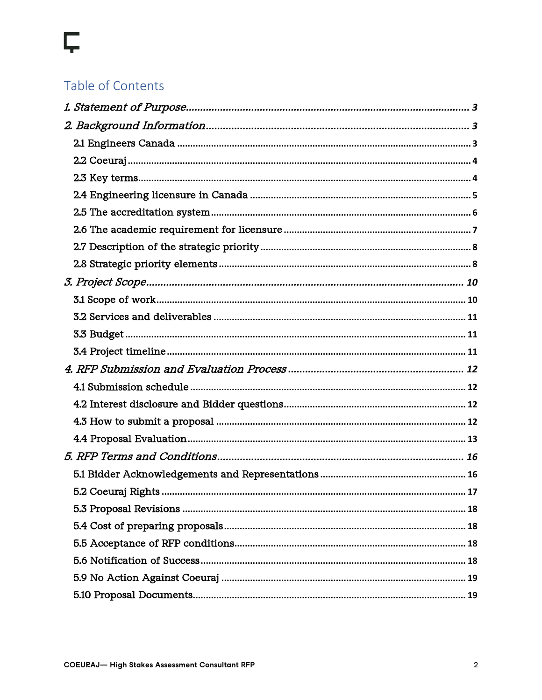# Ç

### Table of Contents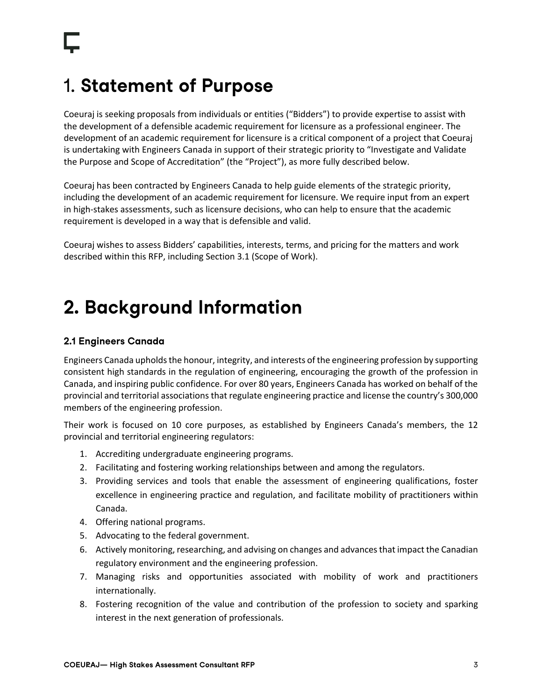### 1. **Statement of Purpose**

Coeuraj is seeking proposals from individuals or entities ("Bidders") to provide expertise to assist with the development of a defensible academic requirement for licensure as a professional engineer. The development of an academic requirement for licensure is a critical component of a project that Coeuraj is undertaking with Engineers Canada in support of their strategic priority to "Investigate and Validate the Purpose and Scope of Accreditation" (the "Project"), as more fully described below.

Coeuraj has been contracted by Engineers Canada to help guide elements of the strategic priority, including the development of an academic requirement for licensure. We require input from an expert in high-stakes assessments, such as licensure decisions, who can help to ensure that the academic requirement is developed in a way that is defensible and valid.

Coeuraj wishes to assess Bidders' capabilities, interests, terms, and pricing for the matters and work described within this RFP, including Section 3.1 (Scope of Work).

### **2. Background Information**

#### **2.1 Engineers Canada**

Engineers Canada upholds the honour, integrity, and interests of the engineering profession by supporting consistent high standards in the regulation of engineering, encouraging the growth of the profession in Canada, and inspiring public confidence. For over 80 years, Engineers Canada has worked on behalf of the provincial and territorial associations that regulate engineering practice and license the country's 300,000 members of the engineering profession.

Their work is focused on 10 core purposes, as established by Engineers Canada's members, the 12 provincial and territorial engineering regulators:

- 1. Accrediting undergraduate engineering programs.
- 2. Facilitating and fostering working relationships between and among the regulators.
- 3. Providing services and tools that enable the assessment of engineering qualifications, foster excellence in engineering practice and regulation, and facilitate mobility of practitioners within Canada.
- 4. Offering national programs.
- 5. Advocating to the federal government.
- 6. Actively monitoring, researching, and advising on changes and advances that impact the Canadian regulatory environment and the engineering profession.
- 7. Managing risks and opportunities associated with mobility of work and practitioners internationally.
- 8. Fostering recognition of the value and contribution of the profession to society and sparking interest in the next generation of professionals.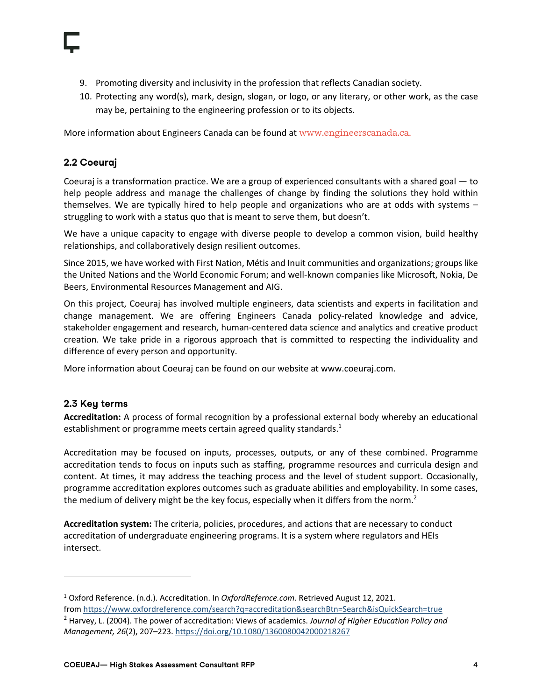- 9. Promoting diversity and inclusivity in the profession that reflects Canadian society.
- 10. Protecting any word(s), mark, design, slogan, or logo, or any literary, or other work, as the case may be, pertaining to the engineering profession or to its objects.

More information about Engineers Canada can be found at www.engineerscanada.ca.

#### **2.2 Coeuraj**

Coeuraj is a transformation practice. We are a group of experienced consultants with a shared goal — to help people address and manage the challenges of change by finding the solutions they hold within themselves. We are typically hired to help people and organizations who are at odds with systems – struggling to work with a status quo that is meant to serve them, but doesn't.

We have a unique capacity to engage with diverse people to develop a common vision, build healthy relationships, and collaboratively design resilient outcomes.

Since 2015, we have worked with First Nation, Métis and Inuit communities and organizations; groups like the United Nations and the World Economic Forum; and well-known companies like Microsoft, Nokia, De Beers, Environmental Resources Management and AIG.

On this project, Coeuraj has involved multiple engineers, data scientists and experts in facilitation and change management. We are offering Engineers Canada policy-related knowledge and advice, stakeholder engagement and research, human-centered data science and analytics and creative product creation. We take pride in a rigorous approach that is committed to respecting the individuality and difference of every person and opportunity.

More information about Coeuraj can be found on our website at www.coeuraj.com.

#### **2.3 Key terms**

**Accreditation:** A process of formal recognition by a professional external body whereby an educational establishment or programme meets certain agreed quality standards. $1$ 

Accreditation may be focused on inputs, processes, outputs, or any of these combined. Programme accreditation tends to focus on inputs such as staffing, programme resources and curricula design and content. At times, it may address the teaching process and the level of student support. Occasionally, programme accreditation explores outcomes such as graduate abilities and employability. In some cases, the medium of delivery might be the key focus, especially when it differs from the norm.<sup>2</sup>

**Accreditation system:** The criteria, policies, procedures, and actions that are necessary to conduct accreditation of undergraduate engineering programs. It is a system where regulators and HEIs intersect.

<sup>1</sup> Oxford Reference. (n.d.). Accreditation. In *OxfordRefernce.com*. Retrieved August 12, 2021. from https://www.oxfordreference.com/search?q=accreditation&searchBtn=Search&isQuickSearch=true

<sup>2</sup> Harvey, L. (2004). The power of accreditation: Views of academics. *Journal of Higher Education Policy and Management, 26*(2), 207–223. https://doi.org/10.1080/1360080042000218267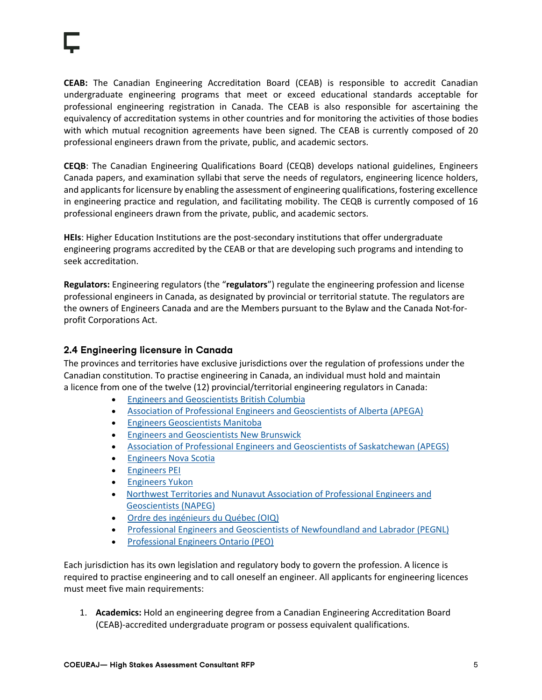**CEAB:** The Canadian Engineering Accreditation Board (CEAB) is responsible to accredit Canadian undergraduate engineering programs that meet or exceed educational standards acceptable for professional engineering registration in Canada. The CEAB is also responsible for ascertaining the equivalency of accreditation systems in other countries and for monitoring the activities of those bodies with which mutual recognition agreements have been signed. The CEAB is currently composed of 20 professional engineers drawn from the private, public, and academic sectors.

**CEQB**: The Canadian Engineering Qualifications Board (CEQB) develops national guidelines, Engineers Canada papers, and examination syllabi that serve the needs of regulators, engineering licence holders, and applicants for licensure by enabling the assessment of engineering qualifications, fostering excellence in engineering practice and regulation, and facilitating mobility. The CEQB is currently composed of 16 professional engineers drawn from the private, public, and academic sectors.

**HEIs**: Higher Education Institutions are the post-secondary institutions that offer undergraduate engineering programs accredited by the CEAB or that are developing such programs and intending to seek accreditation.

**Regulators:** Engineering regulators (the "**regulators**") regulate the engineering profession and license professional engineers in Canada, as designated by provincial or territorial statute. The regulators are the owners of Engineers Canada and are the Members pursuant to the Bylaw and the Canada Not-forprofit Corporations Act.

#### **2.4 Engineering licensure in Canada**

The provinces and territories have exclusive jurisdictions over the regulation of professions under the Canadian constitution. To practise engineering in Canada, an individual must hold and maintain a licence from one of the twelve (12) provincial/territorial engineering regulators in Canada:

- Engineers and Geoscientists British Columbia
- Association of Professional Engineers and Geoscientists of Alberta (APEGA)
- Engineers Geoscientists Manitoba
- Engineers and Geoscientists New Brunswick
- Association of Professional Engineers and Geoscientists of Saskatchewan (APEGS)
- Engineers Nova Scotia
- Engineers PEI
- Engineers Yukon
- Northwest Territories and Nunavut Association of Professional Engineers and Geoscientists (NAPEG)
- Ordre des ingénieurs du Québec (OIQ)
- Professional Engineers and Geoscientists of Newfoundland and Labrador (PEGNL)
- Professional Engineers Ontario (PEO)

Each jurisdiction has its own legislation and regulatory body to govern the profession. A licence is required to practise engineering and to call oneself an engineer. All applicants for engineering licences must meet five main requirements:

1. **Academics:** Hold an engineering degree from a Canadian Engineering Accreditation Board (CEAB)-accredited undergraduate program or possess equivalent qualifications.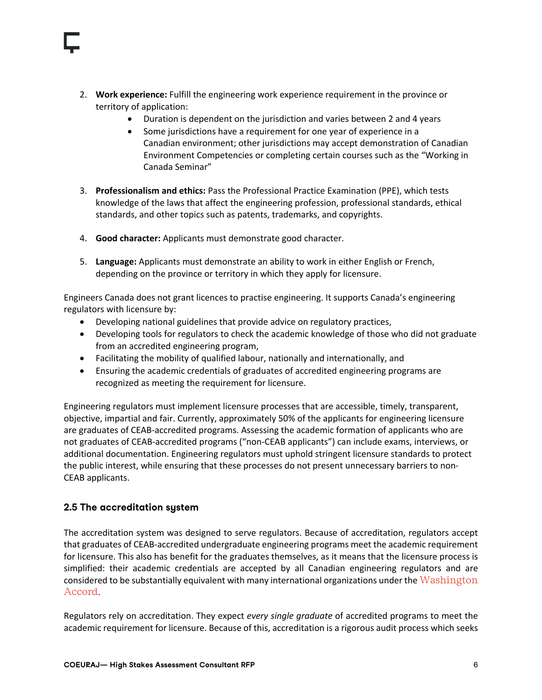- 2. **Work experience:** Fulfill the engineering work experience requirement in the province or territory of application:
	- Duration is dependent on the jurisdiction and varies between 2 and 4 years
	- Some jurisdictions have a requirement for one year of experience in a Canadian environment; other jurisdictions may accept demonstration of Canadian Environment Competencies or completing certain courses such as the "Working in Canada Seminar"
- 3. **Professionalism and ethics:** Pass the Professional Practice Examination (PPE), which tests knowledge of the laws that affect the engineering profession, professional standards, ethical standards, and other topics such as patents, trademarks, and copyrights.
- 4. **Good character:** Applicants must demonstrate good character.
- 5. **Language:** Applicants must demonstrate an ability to work in either English or French, depending on the province or territory in which they apply for licensure.

Engineers Canada does not grant licences to practise engineering. It supports Canada's engineering regulators with licensure by:

- Developing national guidelines that provide advice on regulatory practices,
- Developing tools for regulators to check the academic knowledge of those who did not graduate from an accredited engineering program,
- Facilitating the mobility of qualified labour, nationally and internationally, and
- Ensuring the academic credentials of graduates of accredited engineering programs are recognized as meeting the requirement for licensure.

Engineering regulators must implement licensure processes that are accessible, timely, transparent, objective, impartial and fair. Currently, approximately 50% of the applicants for engineering licensure are graduates of CEAB-accredited programs. Assessing the academic formation of applicants who are not graduates of CEAB-accredited programs ("non-CEAB applicants") can include exams, interviews, or additional documentation. Engineering regulators must uphold stringent licensure standards to protect the public interest, while ensuring that these processes do not present unnecessary barriers to non-CEAB applicants.

#### **2.5 The accreditation system**

The accreditation system was designed to serve regulators. Because of accreditation, regulators accept that graduates of CEAB-accredited undergraduate engineering programs meet the academic requirement for licensure. This also has benefit for the graduates themselves, as it means that the licensure process is simplified: their academic credentials are accepted by all Canadian engineering regulators and are considered to be substantially equivalent with many international organizations under the Washington Accord.

Regulators rely on accreditation. They expect *every single graduate* of accredited programs to meet the academic requirement for licensure. Because of this, accreditation is a rigorous audit process which seeks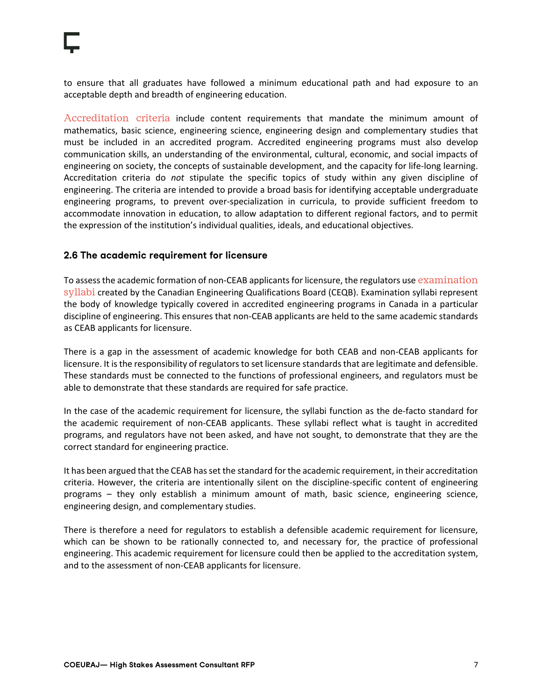to ensure that all graduates have followed a minimum educational path and had exposure to an acceptable depth and breadth of engineering education.

Accreditation criteria include content requirements that mandate the minimum amount of mathematics, basic science, engineering science, engineering design and complementary studies that must be included in an accredited program. Accredited engineering programs must also develop communication skills, an understanding of the environmental, cultural, economic, and social impacts of engineering on society, the concepts of sustainable development, and the capacity for life-long learning. Accreditation criteria do *not* stipulate the specific topics of study within any given discipline of engineering. The criteria are intended to provide a broad basis for identifying acceptable undergraduate engineering programs, to prevent over-specialization in curricula, to provide sufficient freedom to accommodate innovation in education, to allow adaptation to different regional factors, and to permit the expression of the institution's individual qualities, ideals, and educational objectives.

#### **2.6 The academic requirement for licensure**

To assess the academic formation of non-CEAB applicants for licensure, the regulators use examination syllabi created by the Canadian Engineering Qualifications Board (CEQB). Examination syllabi represent the body of knowledge typically covered in accredited engineering programs in Canada in a particular discipline of engineering. This ensures that non-CEAB applicants are held to the same academic standards as CEAB applicants for licensure.

There is a gap in the assessment of academic knowledge for both CEAB and non-CEAB applicants for licensure. It is the responsibility of regulators to set licensure standards that are legitimate and defensible. These standards must be connected to the functions of professional engineers, and regulators must be able to demonstrate that these standards are required for safe practice.

In the case of the academic requirement for licensure, the syllabi function as the de-facto standard for the academic requirement of non-CEAB applicants. These syllabi reflect what is taught in accredited programs, and regulators have not been asked, and have not sought, to demonstrate that they are the correct standard for engineering practice.

It has been argued that the CEAB has set the standard for the academic requirement, in their accreditation criteria. However, the criteria are intentionally silent on the discipline-specific content of engineering programs – they only establish a minimum amount of math, basic science, engineering science, engineering design, and complementary studies.

There is therefore a need for regulators to establish a defensible academic requirement for licensure, which can be shown to be rationally connected to, and necessary for, the practice of professional engineering. This academic requirement for licensure could then be applied to the accreditation system, and to the assessment of non-CEAB applicants for licensure.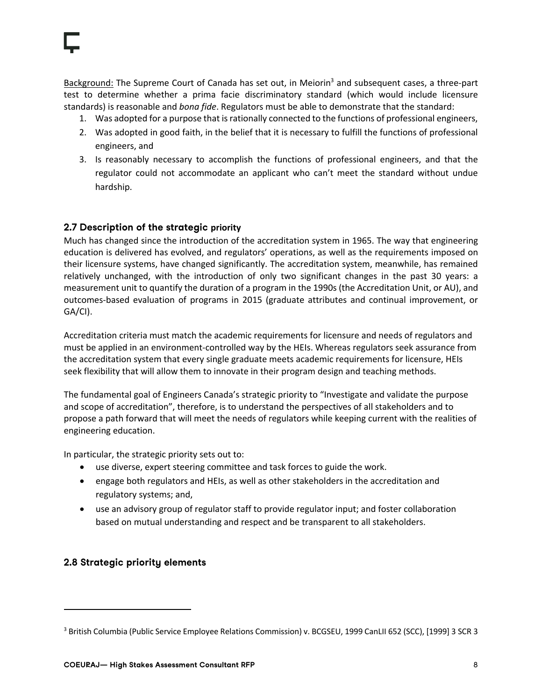Background: The Supreme Court of Canada has set out, in Meiorin<sup>3</sup> and subsequent cases, a three-part test to determine whether a prima facie discriminatory standard (which would include licensure standards) is reasonable and *bona fide*. Regulators must be able to demonstrate that the standard:

- 1. Was adopted for a purpose that is rationally connected to the functions of professional engineers,
- 2. Was adopted in good faith, in the belief that it is necessary to fulfill the functions of professional engineers, and
- 3. Is reasonably necessary to accomplish the functions of professional engineers, and that the regulator could not accommodate an applicant who can't meet the standard without undue hardship.

#### **2.7 Description of the strategic priority**

Much has changed since the introduction of the accreditation system in 1965. The way that engineering education is delivered has evolved, and regulators' operations, as well as the requirements imposed on their licensure systems, have changed significantly. The accreditation system, meanwhile, has remained relatively unchanged, with the introduction of only two significant changes in the past 30 years: a measurement unit to quantify the duration of a program in the 1990s (the Accreditation Unit, or AU), and outcomes-based evaluation of programs in 2015 (graduate attributes and continual improvement, or GA/CI).

Accreditation criteria must match the academic requirements for licensure and needs of regulators and must be applied in an environment-controlled way by the HEIs. Whereas regulators seek assurance from the accreditation system that every single graduate meets academic requirements for licensure, HEIs seek flexibility that will allow them to innovate in their program design and teaching methods.

The fundamental goal of Engineers Canada's strategic priority to "Investigate and validate the purpose and scope of accreditation", therefore, is to understand the perspectives of all stakeholders and to propose a path forward that will meet the needs of regulators while keeping current with the realities of engineering education.

In particular, the strategic priority sets out to:

- use diverse, expert steering committee and task forces to guide the work.
- engage both regulators and HEIs, as well as other stakeholders in the accreditation and regulatory systems; and,
- use an advisory group of regulator staff to provide regulator input; and foster collaboration based on mutual understanding and respect and be transparent to all stakeholders.

#### **2.8 Strategic priority elements**

<sup>3</sup> British Columbia (Public Service Employee Relations Commission) v. BCGSEU, 1999 CanLII 652 (SCC), [1999] 3 SCR 3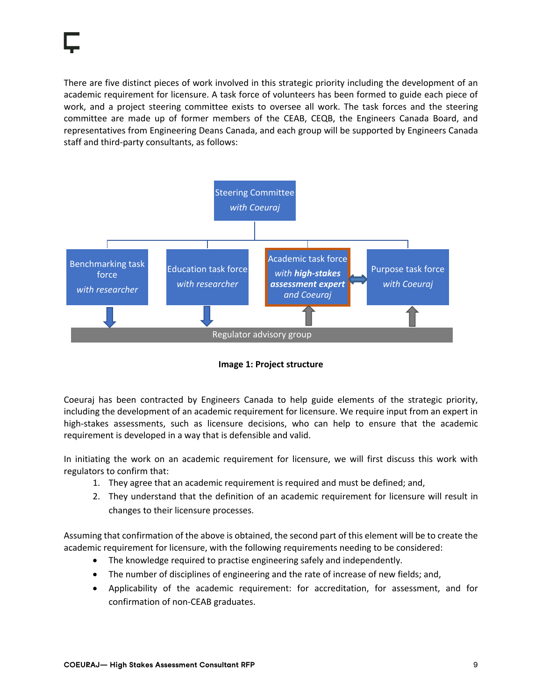There are five distinct pieces of work involved in this strategic priority including the development of an academic requirement for licensure. A task force of volunteers has been formed to guide each piece of work, and a project steering committee exists to oversee all work. The task forces and the steering committee are made up of former members of the CEAB, CEQB, the Engineers Canada Board, and representatives from Engineering Deans Canada, and each group will be supported by Engineers Canada staff and third-party consultants, as follows:



**Image 1: Project structure**

Coeuraj has been contracted by Engineers Canada to help guide elements of the strategic priority, including the development of an academic requirement for licensure. We require input from an expert in high-stakes assessments, such as licensure decisions, who can help to ensure that the academic requirement is developed in a way that is defensible and valid.

In initiating the work on an academic requirement for licensure, we will first discuss this work with regulators to confirm that:

- 1. They agree that an academic requirement is required and must be defined; and,
- 2. They understand that the definition of an academic requirement for licensure will result in changes to their licensure processes.

Assuming that confirmation of the above is obtained, the second part of this element will be to create the academic requirement for licensure, with the following requirements needing to be considered:

- The knowledge required to practise engineering safely and independently.
- The number of disciplines of engineering and the rate of increase of new fields; and,
- Applicability of the academic requirement: for accreditation, for assessment, and for confirmation of non-CEAB graduates.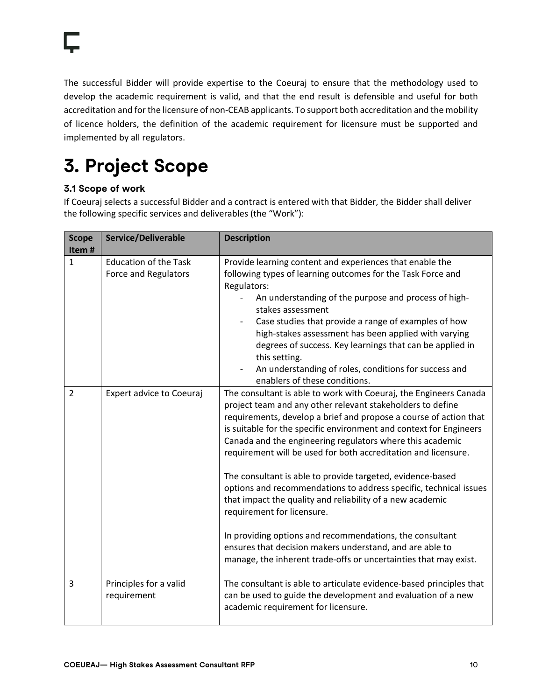The successful Bidder will provide expertise to the Coeuraj to ensure that the methodology used to develop the academic requirement is valid, and that the end result is defensible and useful for both accreditation and for the licensure of non-CEAB applicants. To support both accreditation and the mobility of licence holders, the definition of the academic requirement for licensure must be supported and implemented by all regulators.

## **3. Project Scope**

### **3.1 Scope of work**

If Coeuraj selects a successful Bidder and a contract is entered with that Bidder, the Bidder shall deliver the following specific services and deliverables (the "Work"):

| <b>Scope</b>   | Service/Deliverable                                  | <b>Description</b>                                                                                                                                                                                                                                                                                                                                                                                                                                                                                                                                                                                                                                                                                                                                                                                                                  |  |  |
|----------------|------------------------------------------------------|-------------------------------------------------------------------------------------------------------------------------------------------------------------------------------------------------------------------------------------------------------------------------------------------------------------------------------------------------------------------------------------------------------------------------------------------------------------------------------------------------------------------------------------------------------------------------------------------------------------------------------------------------------------------------------------------------------------------------------------------------------------------------------------------------------------------------------------|--|--|
| Item#          |                                                      |                                                                                                                                                                                                                                                                                                                                                                                                                                                                                                                                                                                                                                                                                                                                                                                                                                     |  |  |
| $\mathbf{1}$   | <b>Education of the Task</b><br>Force and Regulators | Provide learning content and experiences that enable the<br>following types of learning outcomes for the Task Force and<br>Regulators:<br>An understanding of the purpose and process of high-<br>stakes assessment<br>Case studies that provide a range of examples of how<br>high-stakes assessment has been applied with varying<br>degrees of success. Key learnings that can be applied in<br>this setting.<br>An understanding of roles, conditions for success and<br>enablers of these conditions.                                                                                                                                                                                                                                                                                                                          |  |  |
| $\overline{2}$ | Expert advice to Coeuraj                             | The consultant is able to work with Coeuraj, the Engineers Canada<br>project team and any other relevant stakeholders to define<br>requirements, develop a brief and propose a course of action that<br>is suitable for the specific environment and context for Engineers<br>Canada and the engineering regulators where this academic<br>requirement will be used for both accreditation and licensure.<br>The consultant is able to provide targeted, evidence-based<br>options and recommendations to address specific, technical issues<br>that impact the quality and reliability of a new academic<br>requirement for licensure.<br>In providing options and recommendations, the consultant<br>ensures that decision makers understand, and are able to<br>manage, the inherent trade-offs or uncertainties that may exist. |  |  |
| 3              | Principles for a valid<br>requirement                | The consultant is able to articulate evidence-based principles that<br>can be used to guide the development and evaluation of a new<br>academic requirement for licensure.                                                                                                                                                                                                                                                                                                                                                                                                                                                                                                                                                                                                                                                          |  |  |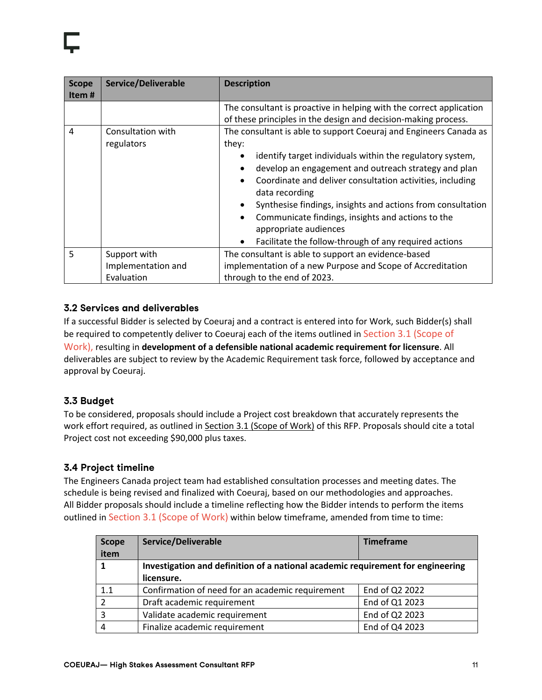| <b>Scope</b><br>Item# | <b>Service/Deliverable</b>                       | <b>Description</b>                                                                                                                                                                                                                                                                                                                                                                                                                                                                                                                                                                             |
|-----------------------|--------------------------------------------------|------------------------------------------------------------------------------------------------------------------------------------------------------------------------------------------------------------------------------------------------------------------------------------------------------------------------------------------------------------------------------------------------------------------------------------------------------------------------------------------------------------------------------------------------------------------------------------------------|
| 4                     | Consultation with<br>regulators                  | The consultant is proactive in helping with the correct application<br>of these principles in the design and decision-making process.<br>The consultant is able to support Coeuraj and Engineers Canada as<br>they:<br>identify target individuals within the regulatory system,<br>develop an engagement and outreach strategy and plan<br>$\bullet$<br>Coordinate and deliver consultation activities, including<br>data recording<br>Synthesise findings, insights and actions from consultation<br>Communicate findings, insights and actions to the<br>$\bullet$<br>appropriate audiences |
|                       |                                                  | Facilitate the follow-through of any required actions<br>$\bullet$                                                                                                                                                                                                                                                                                                                                                                                                                                                                                                                             |
| 5                     | Support with<br>Implementation and<br>Evaluation | The consultant is able to support an evidence-based<br>implementation of a new Purpose and Scope of Accreditation<br>through to the end of 2023.                                                                                                                                                                                                                                                                                                                                                                                                                                               |

#### **3.2 Services and deliverables**

If a successful Bidder is selected by Coeuraj and a contract is entered into for Work, such Bidder(s) shall be required to competently deliver to Coeuraj each of the items outlined in Section 3.1 (Scope of Work), resulting in **development of a defensible national academic requirement for licensure**. All deliverables are subject to review by the Academic Requirement task force, followed by acceptance and approval by Coeuraj.

### **3.3 Budget**

To be considered, proposals should include a Project cost breakdown that accurately represents the work effort required, as outlined in Section 3.1 (Scope of Work) of this RFP. Proposals should cite a total Project cost not exceeding \$90,000 plus taxes.

#### **3.4 Project timeline**

The Engineers Canada project team had established consultation processes and meeting dates. The schedule is being revised and finalized with Coeuraj, based on our methodologies and approaches. All Bidder proposals should include a timeline reflecting how the Bidder intends to perform the items outlined in Section 3.1 (Scope of Work) within below timeframe, amended from time to time:

| <b>Scope</b><br>item | Service/Deliverable                                                             | <b>Timeframe</b> |  |
|----------------------|---------------------------------------------------------------------------------|------------------|--|
|                      | Investigation and definition of a national academic requirement for engineering |                  |  |
|                      | licensure.                                                                      |                  |  |
| 1.1                  | Confirmation of need for an academic requirement                                | End of Q2 2022   |  |
| $\mathcal{D}$        | Draft academic requirement                                                      | End of Q1 2023   |  |
| 3                    | Validate academic requirement                                                   | End of Q2 2023   |  |
| 4                    | Finalize academic requirement                                                   | End of Q4 2023   |  |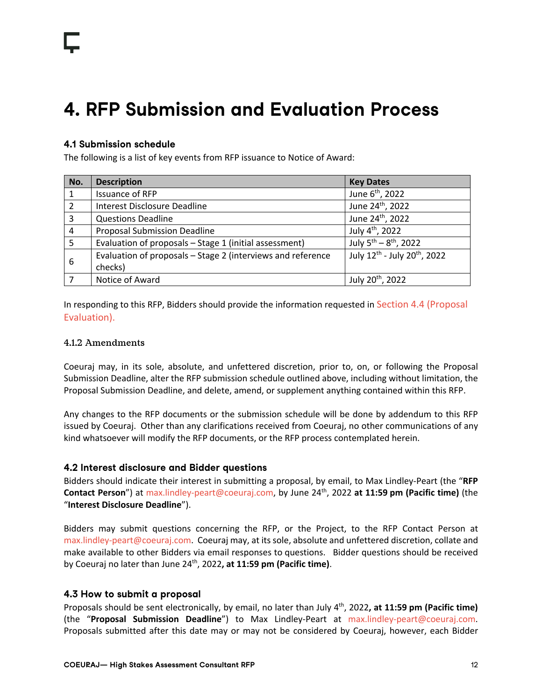## **4. RFP Submission and Evaluation Process**

#### **4.1 Submission schedule**

The following is a list of key events from RFP issuance to Notice of Award:

| No. | <b>Description</b>                                          | <b>Key Dates</b>                                     |
|-----|-------------------------------------------------------------|------------------------------------------------------|
|     | Issuance of RFP                                             | June 6 <sup>th</sup> , 2022                          |
| 2   | Interest Disclosure Deadline                                | June 24 <sup>th</sup> , 2022                         |
| 3   | <b>Questions Deadline</b>                                   | June 24 <sup>th</sup> , 2022                         |
| 4   | <b>Proposal Submission Deadline</b>                         | July 4 <sup>th</sup> , 2022                          |
| .5  | Evaluation of proposals - Stage 1 (initial assessment)      | July 5 <sup>th</sup> - 8 <sup>th</sup> , 2022        |
| 6   | Evaluation of proposals - Stage 2 (interviews and reference | July 12 <sup>th</sup> - July 20 <sup>th</sup> , 2022 |
|     | checks)                                                     |                                                      |
|     | Notice of Award                                             | July 20 <sup>th</sup> , 2022                         |

In responding to this RFP, Bidders should provide the information requested in Section 4.4 (Proposal Evaluation).

#### 4.1.2 Amendments

Coeuraj may, in its sole, absolute, and unfettered discretion, prior to, on, or following the Proposal Submission Deadline, alter the RFP submission schedule outlined above, including without limitation, the Proposal Submission Deadline, and delete, amend, or supplement anything contained within this RFP.

Any changes to the RFP documents or the submission schedule will be done by addendum to this RFP issued by Coeuraj. Other than any clarifications received from Coeuraj, no other communications of any kind whatsoever will modify the RFP documents, or the RFP process contemplated herein.

#### **4.2 Interest disclosure and Bidder questions**

Bidders should indicate their interest in submitting a proposal, by email, to Max Lindley-Peart (the "**RFP Contact Person**") at max.lindley-peart@coeuraj.com, by June 24th, 2022 **at 11:59 pm (Pacific time)** (the "**Interest Disclosure Deadline**").

Bidders may submit questions concerning the RFP, or the Project, to the RFP Contact Person at max.lindley-peart@coeuraj.com. Coeuraj may, at its sole, absolute and unfettered discretion, collate and make available to other Bidders via email responses to questions. Bidder questions should be received by Coeuraj no later than June 24th, 2022**, at 11:59 pm (Pacific time)**.

#### **4.3 How to submit a proposal**

Proposals should be sent electronically, by email, no later than July 4th, 2022**, at 11:59 pm (Pacific time)** (the "**Proposal Submission Deadline**") to Max Lindley-Peart at max.lindley-peart@coeuraj.com. Proposals submitted after this date may or may not be considered by Coeuraj, however, each Bidder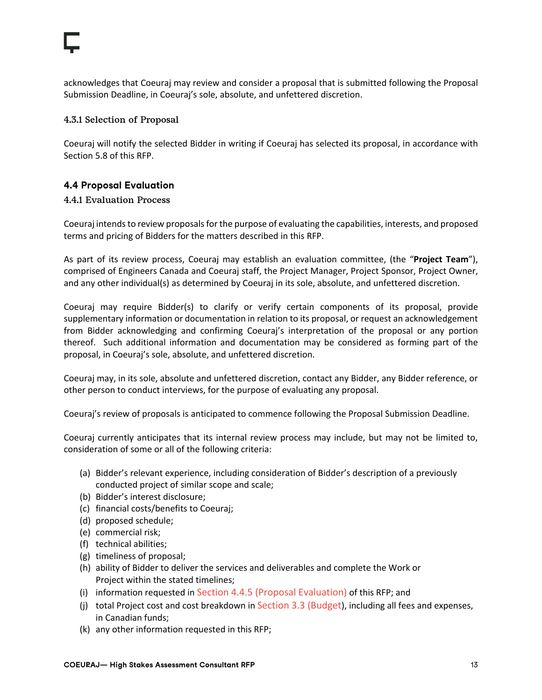acknowledges that Coeuraj may review and consider a proposal that is submitted following the Proposal Submission Deadline, in Coeuraj's sole, absolute, and unfettered discretion.

#### 4.3.1 Selection of Proposal

Coeuraj will notify the selected Bidder in writing if Coeuraj has selected its proposal, in accordance with Section 5.8 of this RFP.

#### **4.4 Proposal Evaluation**

#### 4.4.1 Evaluation Process

Coeuraj intends to review proposals for the purpose of evaluating the capabilities, interests, and proposed terms and pricing of Bidders for the matters described in this RFP.

As part of its review process, Coeuraj may establish an evaluation committee, (the "**Project Team**"), comprised of Engineers Canada and Coeuraj staff, the Project Manager, Project Sponsor, Project Owner, and any other individual(s) as determined by Coeuraj in its sole, absolute, and unfettered discretion.

Coeuraj may require Bidder(s) to clarify or verify certain components of its proposal, provide supplementary information or documentation in relation to its proposal, or request an acknowledgement from Bidder acknowledging and confirming Coeuraj's interpretation of the proposal or any portion thereof. Such additional information and documentation may be considered as forming part of the proposal, in Coeuraj's sole, absolute, and unfettered discretion.

Coeuraj may, in its sole, absolute and unfettered discretion, contact any Bidder, any Bidder reference, or other person to conduct interviews, for the purpose of evaluating any proposal.

Coeuraj's review of proposals is anticipated to commence following the Proposal Submission Deadline.

Coeuraj currently anticipates that its internal review process may include, but may not be limited to, consideration of some or all of the following criteria:

- (a) Bidder's relevant experience, including consideration of Bidder's description of a previously conducted project of similar scope and scale;
- (b) Bidder's interest disclosure;
- (c) financial costs/benefits to Coeuraj;
- (d) proposed schedule;
- (e) commercial risk;
- (f) technical abilities;
- (g) timeliness of proposal;
- (h) ability of Bidder to deliver the services and deliverables and complete the Work or Project within the stated timelines;
- (i) information requested in Section 4.4.5 (Proposal Evaluation) of this RFP; and
- (j) total Project cost and cost breakdown in Section 3.3 (Budget), including all fees and expenses, in Canadian funds;
- (k) any other information requested in this RFP;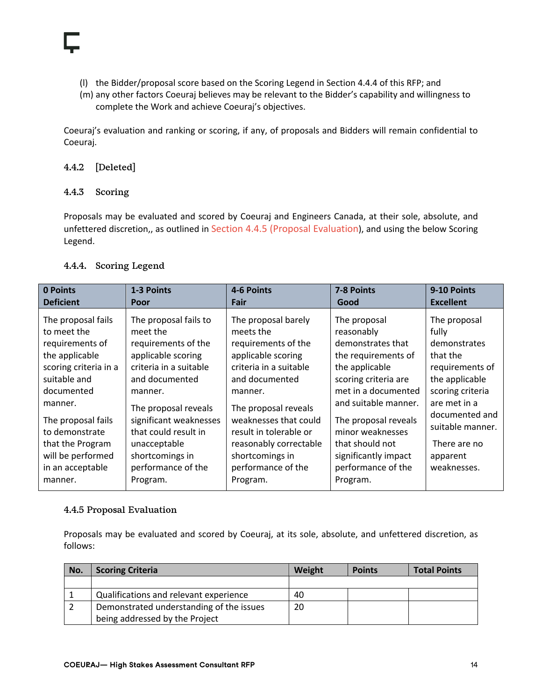- (l) the Bidder/proposal score based on the Scoring Legend in Section 4.4.4 of this RFP; and
- (m) any other factors Coeuraj believes may be relevant to the Bidder's capability and willingness to complete the Work and achieve Coeuraj's objectives.

Coeuraj's evaluation and ranking or scoring, if any, of proposals and Bidders will remain confidential to Coeuraj.

#### 4.4.2 [Deleted]

#### 4.4.3 Scoring

Proposals may be evaluated and scored by Coeuraj and Engineers Canada, at their sole, absolute, and unfettered discretion,, as outlined in Section 4.4.5 (Proposal Evaluation), and using the below Scoring Legend.

#### 4.4.4. Scoring Legend

| 0 Points                                                                                                                                                                                                                                                 | 1-3 Points                                                                                                                                                                                                                                                                           | 4-6 Points                                                                                                                                                                                                                                                                                     | 7-8 Points                                                                                                                                                                                                                                                                               | 9-10 Points                                                                                                                                                                                                 |
|----------------------------------------------------------------------------------------------------------------------------------------------------------------------------------------------------------------------------------------------------------|--------------------------------------------------------------------------------------------------------------------------------------------------------------------------------------------------------------------------------------------------------------------------------------|------------------------------------------------------------------------------------------------------------------------------------------------------------------------------------------------------------------------------------------------------------------------------------------------|------------------------------------------------------------------------------------------------------------------------------------------------------------------------------------------------------------------------------------------------------------------------------------------|-------------------------------------------------------------------------------------------------------------------------------------------------------------------------------------------------------------|
| <b>Deficient</b>                                                                                                                                                                                                                                         | Poor                                                                                                                                                                                                                                                                                 | Fair                                                                                                                                                                                                                                                                                           | Good                                                                                                                                                                                                                                                                                     | <b>Excellent</b>                                                                                                                                                                                            |
| The proposal fails<br>to meet the<br>requirements of<br>the applicable<br>scoring criteria in a<br>suitable and<br>documented<br>manner.<br>The proposal fails<br>to demonstrate<br>that the Program<br>will be performed<br>in an acceptable<br>manner. | The proposal fails to<br>meet the<br>requirements of the<br>applicable scoring<br>criteria in a suitable<br>and documented<br>manner.<br>The proposal reveals<br>significant weaknesses<br>that could result in<br>unacceptable<br>shortcomings in<br>performance of the<br>Program. | The proposal barely<br>meets the<br>requirements of the<br>applicable scoring<br>criteria in a suitable<br>and documented<br>manner.<br>The proposal reveals<br>weaknesses that could<br>result in tolerable or<br>reasonably correctable<br>shortcomings in<br>performance of the<br>Program. | The proposal<br>reasonably<br>demonstrates that<br>the requirements of<br>the applicable<br>scoring criteria are<br>met in a documented<br>and suitable manner.<br>The proposal reveals<br>minor weaknesses<br>that should not<br>significantly impact<br>performance of the<br>Program. | The proposal<br>fully<br>demonstrates<br>that the<br>requirements of<br>the applicable<br>scoring criteria<br>are met in a<br>documented and<br>suitable manner.<br>There are no<br>apparent<br>weaknesses. |

#### 4.4.5 Proposal Evaluation

Proposals may be evaluated and scored by Coeuraj, at its sole, absolute, and unfettered discretion, as follows:

| No. | <b>Scoring Criteria</b>                  | Weight | <b>Points</b> | <b>Total Points</b> |
|-----|------------------------------------------|--------|---------------|---------------------|
|     |                                          |        |               |                     |
|     | Qualifications and relevant experience   | 40     |               |                     |
|     | Demonstrated understanding of the issues | 20     |               |                     |
|     | being addressed by the Project           |        |               |                     |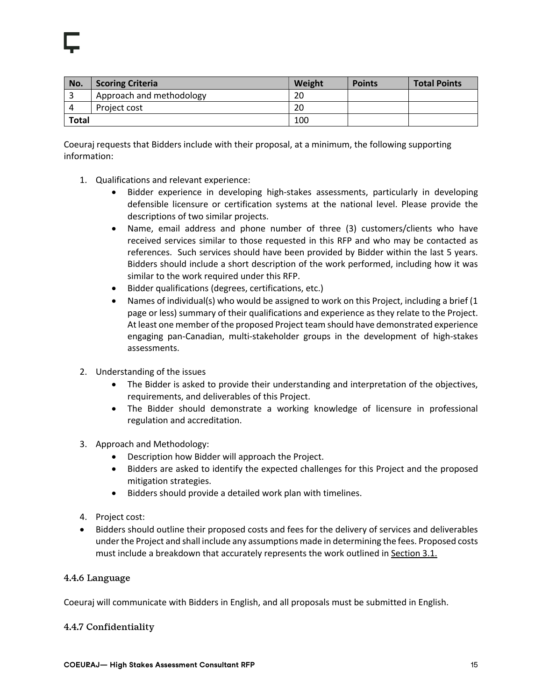| No.          | <b>Scoring Criteria</b>  | Weight | <b>Points</b> | <b>Total Points</b> |
|--------------|--------------------------|--------|---------------|---------------------|
|              | Approach and methodology | 20     |               |                     |
| Project cost |                          | 20     |               |                     |
| <b>Total</b> |                          | 100    |               |                     |

Coeuraj requests that Bidders include with their proposal, at a minimum, the following supporting information:

- 1. Qualifications and relevant experience:
	- Bidder experience in developing high-stakes assessments, particularly in developing defensible licensure or certification systems at the national level. Please provide the descriptions of two similar projects.
	- Name, email address and phone number of three (3) customers/clients who have received services similar to those requested in this RFP and who may be contacted as references. Such services should have been provided by Bidder within the last 5 years. Bidders should include a short description of the work performed, including how it was similar to the work required under this RFP.
	- Bidder qualifications (degrees, certifications, etc.)
	- Names of individual(s) who would be assigned to work on this Project, including a brief (1 page or less) summary of their qualifications and experience as they relate to the Project. At least one member of the proposed Project team should have demonstrated experience engaging pan-Canadian, multi-stakeholder groups in the development of high-stakes assessments.
- 2. Understanding of the issues
	- The Bidder is asked to provide their understanding and interpretation of the objectives, requirements, and deliverables of this Project.
	- The Bidder should demonstrate a working knowledge of licensure in professional regulation and accreditation.
- 3. Approach and Methodology:
	- Description how Bidder will approach the Project.
	- Bidders are asked to identify the expected challenges for this Project and the proposed mitigation strategies.
	- Bidders should provide a detailed work plan with timelines.
- 4. Project cost:
- Bidders should outline their proposed costs and fees for the delivery of services and deliverables under the Project and shall include any assumptions made in determining the fees. Proposed costs must include a breakdown that accurately represents the work outlined in Section 3.1.

#### 4.4.6 Language

Coeuraj will communicate with Bidders in English, and all proposals must be submitted in English.

#### 4.4.7 Confidentiality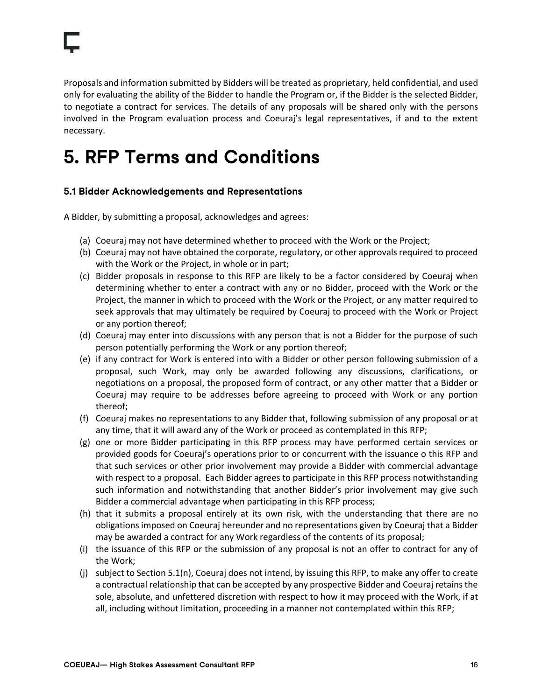Proposals and information submitted by Bidders will be treated as proprietary, held confidential, and used only for evaluating the ability of the Bidder to handle the Program or, if the Bidder is the selected Bidder, to negotiate a contract for services. The details of any proposals will be shared only with the persons involved in the Program evaluation process and Coeuraj's legal representatives, if and to the extent necessary.

## **5. RFP Terms and Conditions**

#### **5.1 Bidder Acknowledgements and Representations**

A Bidder, by submitting a proposal, acknowledges and agrees:

- (a) Coeuraj may not have determined whether to proceed with the Work or the Project;
- (b) Coeuraj may not have obtained the corporate, regulatory, or other approvals required to proceed with the Work or the Project, in whole or in part;
- (c) Bidder proposals in response to this RFP are likely to be a factor considered by Coeuraj when determining whether to enter a contract with any or no Bidder, proceed with the Work or the Project, the manner in which to proceed with the Work or the Project, or any matter required to seek approvals that may ultimately be required by Coeuraj to proceed with the Work or Project or any portion thereof;
- (d) Coeuraj may enter into discussions with any person that is not a Bidder for the purpose of such person potentially performing the Work or any portion thereof;
- (e) if any contract for Work is entered into with a Bidder or other person following submission of a proposal, such Work, may only be awarded following any discussions, clarifications, or negotiations on a proposal, the proposed form of contract, or any other matter that a Bidder or Coeuraj may require to be addresses before agreeing to proceed with Work or any portion thereof;
- (f) Coeuraj makes no representations to any Bidder that, following submission of any proposal or at any time, that it will award any of the Work or proceed as contemplated in this RFP;
- (g) one or more Bidder participating in this RFP process may have performed certain services or provided goods for Coeuraj's operations prior to or concurrent with the issuance o this RFP and that such services or other prior involvement may provide a Bidder with commercial advantage with respect to a proposal. Each Bidder agrees to participate in this RFP process notwithstanding such information and notwithstanding that another Bidder's prior involvement may give such Bidder a commercial advantage when participating in this RFP process;
- (h) that it submits a proposal entirely at its own risk, with the understanding that there are no obligations imposed on Coeuraj hereunder and no representations given by Coeuraj that a Bidder may be awarded a contract for any Work regardless of the contents of its proposal;
- (i) the issuance of this RFP or the submission of any proposal is not an offer to contract for any of the Work;
- (j) subject to Section 5.1(n), Coeuraj does not intend, by issuing this RFP, to make any offer to create a contractual relationship that can be accepted by any prospective Bidder and Coeuraj retains the sole, absolute, and unfettered discretion with respect to how it may proceed with the Work, if at all, including without limitation, proceeding in a manner not contemplated within this RFP;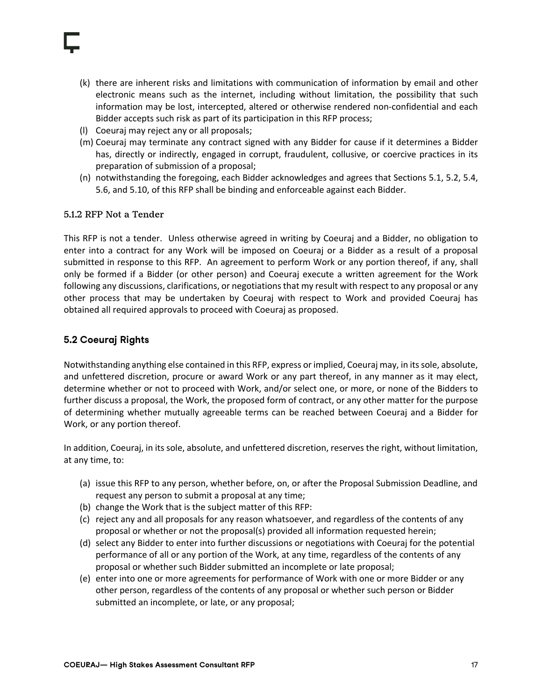- (k) there are inherent risks and limitations with communication of information by email and other electronic means such as the internet, including without limitation, the possibility that such information may be lost, intercepted, altered or otherwise rendered non-confidential and each Bidder accepts such risk as part of its participation in this RFP process;
- (l) Coeuraj may reject any or all proposals;
- (m) Coeuraj may terminate any contract signed with any Bidder for cause if it determines a Bidder has, directly or indirectly, engaged in corrupt, fraudulent, collusive, or coercive practices in its preparation of submission of a proposal;
- (n) notwithstanding the foregoing, each Bidder acknowledges and agrees that Sections 5.1, 5.2, 5.4, 5.6, and 5.10, of this RFP shall be binding and enforceable against each Bidder.

#### 5.1.2 RFP Not a Tender

This RFP is not a tender. Unless otherwise agreed in writing by Coeuraj and a Bidder, no obligation to enter into a contract for any Work will be imposed on Coeuraj or a Bidder as a result of a proposal submitted in response to this RFP. An agreement to perform Work or any portion thereof, if any, shall only be formed if a Bidder (or other person) and Coeuraj execute a written agreement for the Work following any discussions, clarifications, or negotiations that my result with respect to any proposal or any other process that may be undertaken by Coeuraj with respect to Work and provided Coeuraj has obtained all required approvals to proceed with Coeuraj as proposed.

#### **5.2 Coeuraj Rights**

Notwithstanding anything else contained in this RFP, express or implied, Coeuraj may, in its sole, absolute, and unfettered discretion, procure or award Work or any part thereof, in any manner as it may elect, determine whether or not to proceed with Work, and/or select one, or more, or none of the Bidders to further discuss a proposal, the Work, the proposed form of contract, or any other matter for the purpose of determining whether mutually agreeable terms can be reached between Coeuraj and a Bidder for Work, or any portion thereof.

In addition, Coeuraj, in its sole, absolute, and unfettered discretion, reserves the right, without limitation, at any time, to:

- (a) issue this RFP to any person, whether before, on, or after the Proposal Submission Deadline, and request any person to submit a proposal at any time;
- (b) change the Work that is the subject matter of this RFP:
- (c) reject any and all proposals for any reason whatsoever, and regardless of the contents of any proposal or whether or not the proposal(s) provided all information requested herein;
- (d) select any Bidder to enter into further discussions or negotiations with Coeuraj for the potential performance of all or any portion of the Work, at any time, regardless of the contents of any proposal or whether such Bidder submitted an incomplete or late proposal;
- (e) enter into one or more agreements for performance of Work with one or more Bidder or any other person, regardless of the contents of any proposal or whether such person or Bidder submitted an incomplete, or late, or any proposal;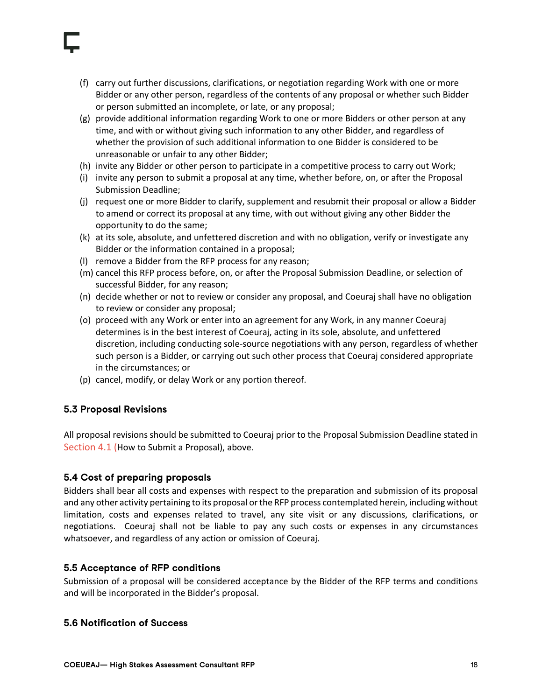- (f) carry out further discussions, clarifications, or negotiation regarding Work with one or more Bidder or any other person, regardless of the contents of any proposal or whether such Bidder or person submitted an incomplete, or late, or any proposal;
- (g) provide additional information regarding Work to one or more Bidders or other person at any time, and with or without giving such information to any other Bidder, and regardless of whether the provision of such additional information to one Bidder is considered to be unreasonable or unfair to any other Bidder;
- (h) invite any Bidder or other person to participate in a competitive process to carry out Work;
- (i) invite any person to submit a proposal at any time, whether before, on, or after the Proposal Submission Deadline;
- (j) request one or more Bidder to clarify, supplement and resubmit their proposal or allow a Bidder to amend or correct its proposal at any time, with out without giving any other Bidder the opportunity to do the same;
- (k) at its sole, absolute, and unfettered discretion and with no obligation, verify or investigate any Bidder or the information contained in a proposal;
- (l) remove a Bidder from the RFP process for any reason;
- (m) cancel this RFP process before, on, or after the Proposal Submission Deadline, or selection of successful Bidder, for any reason;
- (n) decide whether or not to review or consider any proposal, and Coeuraj shall have no obligation to review or consider any proposal;
- (o) proceed with any Work or enter into an agreement for any Work, in any manner Coeuraj determines is in the best interest of Coeuraj, acting in its sole, absolute, and unfettered discretion, including conducting sole-source negotiations with any person, regardless of whether such person is a Bidder, or carrying out such other process that Coeuraj considered appropriate in the circumstances; or
- (p) cancel, modify, or delay Work or any portion thereof.

#### **5.3 Proposal Revisions**

All proposal revisions should be submitted to Coeuraj prior to the Proposal Submission Deadline stated in Section 4.1 (How to Submit a Proposal), above.  

#### **5.4 Cost of preparing proposals**

Bidders shall bear all costs and expenses with respect to the preparation and submission of its proposal and any other activity pertaining to its proposal or the RFP process contemplated herein, including without limitation, costs and expenses related to travel, any site visit or any discussions, clarifications, or negotiations. Coeuraj shall not be liable to pay any such costs or expenses in any circumstances whatsoever, and regardless of any action or omission of Coeuraj.

#### **5.5 Acceptance of RFP conditions**

Submission of a proposal will be considered acceptance by the Bidder of the RFP terms and conditions and will be incorporated in the Bidder's proposal.

#### **5.6 Notification of Success**